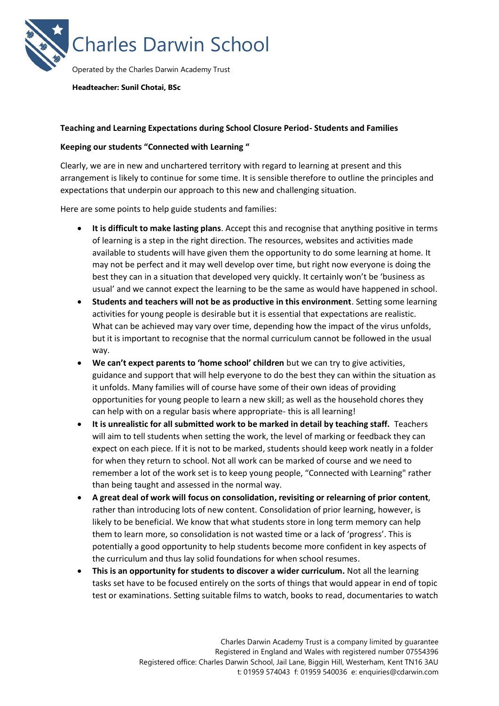

**Headteacher: Sunil Chotai, BSc**

## **Teaching and Learning Expectations during School Closure Period- Students and Families**

## **Keeping our students "Connected with Learning "**

Clearly, we are in new and unchartered territory with regard to learning at present and this arrangement is likely to continue for some time. It is sensible therefore to outline the principles and expectations that underpin our approach to this new and challenging situation.

Here are some points to help guide students and families:

- **It is difficult to make lasting plans**. Accept this and recognise that anything positive in terms of learning is a step in the right direction. The resources, websites and activities made available to students will have given them the opportunity to do some learning at home. It may not be perfect and it may well develop over time, but right now everyone is doing the best they can in a situation that developed very quickly. It certainly won't be 'business as usual' and we cannot expect the learning to be the same as would have happened in school.
- **Students and teachers will not be as productive in this environment**. Setting some learning activities for young people is desirable but it is essential that expectations are realistic. What can be achieved may vary over time, depending how the impact of the virus unfolds, but it is important to recognise that the normal curriculum cannot be followed in the usual way.
- **We can't expect parents to 'home school' children** but we can try to give activities, guidance and support that will help everyone to do the best they can within the situation as it unfolds. Many families will of course have some of their own ideas of providing opportunities for young people to learn a new skill; as well as the household chores they can help with on a regular basis where appropriate- this is all learning!
- **It is unrealistic for all submitted work to be marked in detail by teaching staff.** Teachers will aim to tell students when setting the work, the level of marking or feedback they can expect on each piece. If it is not to be marked, students should keep work neatly in a folder for when they return to school. Not all work can be marked of course and we need to remember a lot of the work set is to keep young people, "Connected with Learning" rather than being taught and assessed in the normal way.
- **A great deal of work will focus on consolidation, revisiting or relearning of prior content**, rather than introducing lots of new content. Consolidation of prior learning, however, is likely to be beneficial. We know that what students store in long term memory can help them to learn more, so consolidation is not wasted time or a lack of 'progress'. This is potentially a good opportunity to help students become more confident in key aspects of the curriculum and thus lay solid foundations for when school resumes.
- **This is an opportunity for students to discover a wider curriculum.** Not all the learning tasks set have to be focused entirely on the sorts of things that would appear in end of topic test or examinations. Setting suitable films to watch, books to read, documentaries to watch